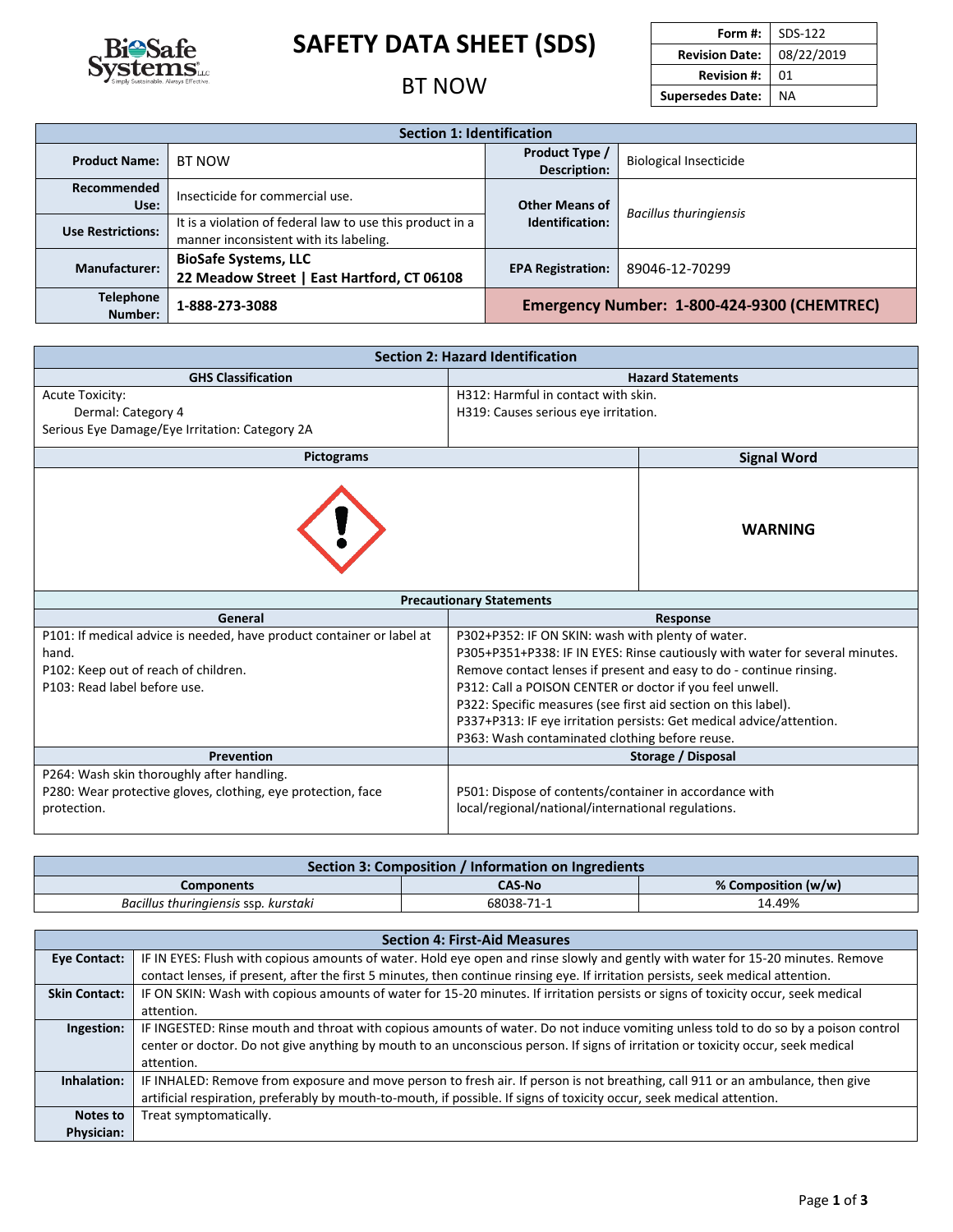

# **SAFETY DATA SHEET (SDS)**

### **BT NOW**

| Form #:                 | SDS-122    |
|-------------------------|------------|
| <b>Revision Date:</b>   | 08/22/2019 |
| <b>Revision #:</b>      | 01         |
| <b>Supersedes Date:</b> | ΝA         |

| <b>Section 1: Identification</b> |                                                                                                     |                                             |                               |  |
|----------------------------------|-----------------------------------------------------------------------------------------------------|---------------------------------------------|-------------------------------|--|
| <b>Product Name:</b>             | <b>Product Type /</b><br><b>BT NOW</b><br><b>Biological Insecticide</b><br><b>Description:</b>      |                                             |                               |  |
| Recommended<br>Use:              | Insecticide for commercial use.                                                                     | <b>Other Means of</b>                       | <b>Bacillus thuringiensis</b> |  |
| <b>Use Restrictions:</b>         | It is a violation of federal law to use this product in a<br>manner inconsistent with its labeling. | Identification:                             |                               |  |
| <b>Manufacturer:</b>             | <b>BioSafe Systems, LLC</b><br>22 Meadow Street   East Hartford, CT 06108                           | <b>EPA Registration:</b>                    | 89046-12-70299                |  |
| <b>Telephone</b><br>Number:      | 1-888-273-3088                                                                                      | Emergency Number: 1-800-424-9300 (CHEMTREC) |                               |  |

| <b>Section 2: Hazard Identification</b>                                                                                |                                                                              |  |  |
|------------------------------------------------------------------------------------------------------------------------|------------------------------------------------------------------------------|--|--|
| <b>GHS Classification</b>                                                                                              | <b>Hazard Statements</b>                                                     |  |  |
| <b>Acute Toxicity:</b>                                                                                                 | H312: Harmful in contact with skin.                                          |  |  |
| Dermal: Category 4                                                                                                     | H319: Causes serious eye irritation.                                         |  |  |
| Serious Eye Damage/Eye Irritation: Category 2A                                                                         |                                                                              |  |  |
| <b>Pictograms</b>                                                                                                      | <b>Signal Word</b>                                                           |  |  |
|                                                                                                                        | <b>WARNING</b>                                                               |  |  |
|                                                                                                                        | <b>Precautionary Statements</b>                                              |  |  |
| General<br><b>Response</b>                                                                                             |                                                                              |  |  |
| P101: If medical advice is needed, have product container or label at                                                  | P302+P352: IF ON SKIN: wash with plenty of water.                            |  |  |
| hand.                                                                                                                  | P305+P351+P338: IF IN EYES: Rinse cautiously with water for several minutes. |  |  |
| Remove contact lenses if present and easy to do - continue rinsing.<br>P102: Keep out of reach of children.            |                                                                              |  |  |
| P312: Call a POISON CENTER or doctor if you feel unwell.<br>P103: Read label before use.                               |                                                                              |  |  |
| P322: Specific measures (see first aid section on this label).                                                         |                                                                              |  |  |
|                                                                                                                        | P337+P313: IF eye irritation persists: Get medical advice/attention.         |  |  |
|                                                                                                                        | P363: Wash contaminated clothing before reuse.                               |  |  |
| <b>Prevention</b>                                                                                                      | Storage / Disposal                                                           |  |  |
| P264: Wash skin thoroughly after handling.                                                                             |                                                                              |  |  |
| P501: Dispose of contents/container in accordance with<br>P280: Wear protective gloves, clothing, eye protection, face |                                                                              |  |  |
| protection.                                                                                                            | local/regional/national/international regulations.                           |  |  |

| Section 3: Composition / Information on Ingredients |               |                     |  |
|-----------------------------------------------------|---------------|---------------------|--|
| Components                                          | <b>CAS-No</b> | % Composition (w/w) |  |
| Bacillus thuringiensis ssp. kurstaki                | 68038-71-1    | 14.49%              |  |

| <b>Section 4: First-Aid Measures</b> |                                                                                                                                    |  |  |
|--------------------------------------|------------------------------------------------------------------------------------------------------------------------------------|--|--|
| Eye Contact:                         | IF IN EYES: Flush with copious amounts of water. Hold eye open and rinse slowly and gently with water for 15-20 minutes. Remove    |  |  |
|                                      | contact lenses, if present, after the first 5 minutes, then continue rinsing eye. If irritation persists, seek medical attention.  |  |  |
| <b>Skin Contact:</b>                 | IF ON SKIN: Wash with copious amounts of water for 15-20 minutes. If irritation persists or signs of toxicity occur, seek medical  |  |  |
|                                      | attention.                                                                                                                         |  |  |
| Ingestion:                           | IF INGESTED: Rinse mouth and throat with copious amounts of water. Do not induce vomiting unless told to do so by a poison control |  |  |
|                                      | center or doctor. Do not give anything by mouth to an unconscious person. If signs of irritation or toxicity occur, seek medical   |  |  |
|                                      | attention.                                                                                                                         |  |  |
| Inhalation:                          | IF INHALED: Remove from exposure and move person to fresh air. If person is not breathing, call 911 or an ambulance, then give     |  |  |
|                                      | artificial respiration, preferably by mouth-to-mouth, if possible. If signs of toxicity occur, seek medical attention.             |  |  |
| Notes to                             | Treat symptomatically.                                                                                                             |  |  |
| <b>Physician:</b>                    |                                                                                                                                    |  |  |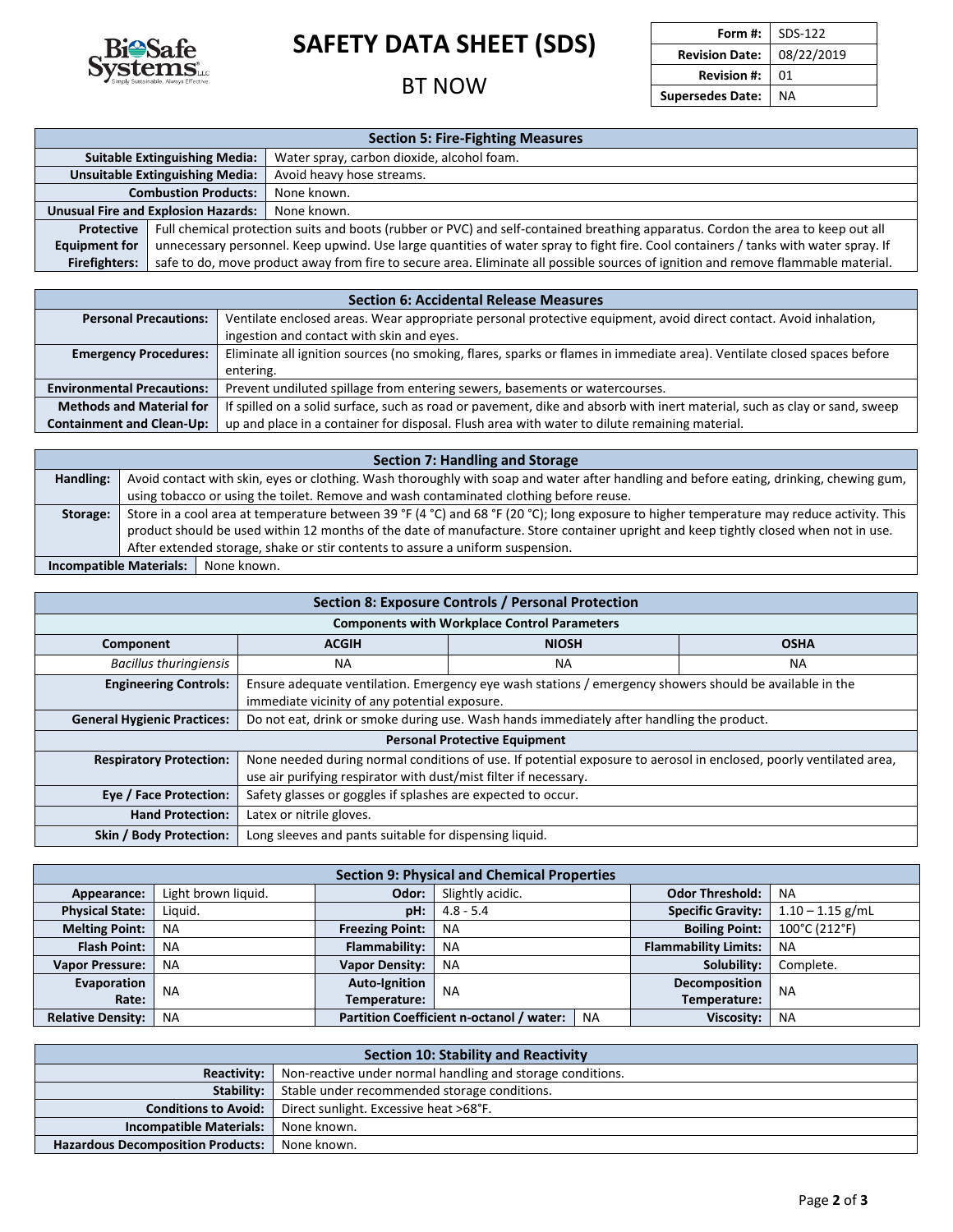

# **SAFETY DATA SHEET (SDS)**

#### **BT NOW**

|                         | Form #: $\vert$ SDS-122 |
|-------------------------|-------------------------|
| <b>Revision Date:</b>   | 08/22/2019              |
| <b>Revision #:</b>      | 01                      |
| <b>Supersedes Date:</b> | ΝA                      |
|                         |                         |

| <b>Section 5: Fire-Fighting Measures</b>                                                                                                                  |                                                                                                                                     |                                            |
|-----------------------------------------------------------------------------------------------------------------------------------------------------------|-------------------------------------------------------------------------------------------------------------------------------------|--------------------------------------------|
|                                                                                                                                                           | <b>Suitable Extinguishing Media:</b>                                                                                                | Water spray, carbon dioxide, alcohol foam. |
|                                                                                                                                                           | <b>Unsuitable Extinguishing Media:</b>                                                                                              | Avoid heavy hose streams.                  |
|                                                                                                                                                           | <b>Combustion Products:</b><br>None known.                                                                                          |                                            |
| <b>Unusual Fire and Explosion Hazards:</b><br>None known.                                                                                                 |                                                                                                                                     |                                            |
| Full chemical protection suits and boots (rubber or PVC) and self-contained breathing apparatus. Cordon the area to keep out all<br><b>Protective</b>     |                                                                                                                                     |                                            |
| <b>Equipment for</b>                                                                                                                                      | unnecessary personnel. Keep upwind. Use large quantities of water spray to fight fire. Cool containers / tanks with water spray. If |                                            |
| safe to do, move product away from fire to secure area. Eliminate all possible sources of ignition and remove flammable material.<br><b>Firefighters:</b> |                                                                                                                                     |                                            |

| <b>Section 6: Accidental Release Measures</b> |                                                                                                                           |  |
|-----------------------------------------------|---------------------------------------------------------------------------------------------------------------------------|--|
| <b>Personal Precautions:</b>                  | Ventilate enclosed areas. Wear appropriate personal protective equipment, avoid direct contact. Avoid inhalation,         |  |
|                                               | ingestion and contact with skin and eyes.                                                                                 |  |
| <b>Emergency Procedures:</b>                  | Eliminate all ignition sources (no smoking, flares, sparks or flames in immediate area). Ventilate closed spaces before   |  |
|                                               | entering.                                                                                                                 |  |
| <b>Environmental Precautions:</b>             | Prevent undiluted spillage from entering sewers, basements or watercourses.                                               |  |
| <b>Methods and Material for</b>               | If spilled on a solid surface, such as road or pavement, dike and absorb with inert material, such as clay or sand, sweep |  |
| <b>Containment and Clean-Up:</b>              | up and place in a container for disposal. Flush area with water to dilute remaining material.                             |  |

| <b>Section 7: Handling and Storage</b> |                                                                                                                                           |  |  |
|----------------------------------------|-------------------------------------------------------------------------------------------------------------------------------------------|--|--|
| Handling:                              | Avoid contact with skin, eyes or clothing. Wash thoroughly with soap and water after handling and before eating, drinking, chewing gum,   |  |  |
|                                        | using tobacco or using the toilet. Remove and wash contaminated clothing before reuse.                                                    |  |  |
| Storage:                               | Store in a cool area at temperature between 39 °F (4 °C) and 68 °F (20 °C); long exposure to higher temperature may reduce activity. This |  |  |
|                                        | product should be used within 12 months of the date of manufacture. Store container upright and keep tightly closed when not in use.      |  |  |
|                                        | After extended storage, shake or stir contents to assure a uniform suspension.                                                            |  |  |
| Incompatible Materials:   None known.  |                                                                                                                                           |  |  |

| Section 8: Exposure Controls / Personal Protection |                                                                                                                                                                                        |                                                     |           |  |  |  |
|----------------------------------------------------|----------------------------------------------------------------------------------------------------------------------------------------------------------------------------------------|-----------------------------------------------------|-----------|--|--|--|
|                                                    |                                                                                                                                                                                        | <b>Components with Workplace Control Parameters</b> |           |  |  |  |
| Component                                          | <b>ACGIH</b>                                                                                                                                                                           | <b>OSHA</b><br><b>NIOSH</b>                         |           |  |  |  |
| <b>Bacillus thuringiensis</b>                      | NА                                                                                                                                                                                     | ΝA                                                  | <b>NA</b> |  |  |  |
| <b>Engineering Controls:</b>                       | Ensure adequate ventilation. Emergency eye wash stations / emergency showers should be available in the<br>immediate vicinity of any potential exposure.                               |                                                     |           |  |  |  |
| <b>General Hygienic Practices:</b>                 | Do not eat, drink or smoke during use. Wash hands immediately after handling the product.                                                                                              |                                                     |           |  |  |  |
| <b>Personal Protective Equipment</b>               |                                                                                                                                                                                        |                                                     |           |  |  |  |
| <b>Respiratory Protection:</b>                     | None needed during normal conditions of use. If potential exposure to aerosol in enclosed, poorly ventilated area,<br>use air purifying respirator with dust/mist filter if necessary. |                                                     |           |  |  |  |
| Eye / Face Protection:                             | Safety glasses or goggles if splashes are expected to occur.                                                                                                                           |                                                     |           |  |  |  |
| <b>Hand Protection:</b>                            | Latex or nitrile gloves.                                                                                                                                                               |                                                     |           |  |  |  |
| <b>Skin / Body Protection:</b>                     | Long sleeves and pants suitable for dispensing liquid.                                                                                                                                 |                                                     |           |  |  |  |

| <b>Section 9: Physical and Chemical Properties</b> |                     |                        |                                          |           |                             |                    |
|----------------------------------------------------|---------------------|------------------------|------------------------------------------|-----------|-----------------------------|--------------------|
| Appearance:                                        | Light brown liquid. | Odor:                  | Slightly acidic.                         |           | <b>Odor Threshold:</b>      | <b>NA</b>          |
| <b>Physical State:</b>                             | Liquid.             | pH:                    | $4.8 - 5.4$                              |           | <b>Specific Gravity:</b>    | $1.10 - 1.15$ g/mL |
| <b>Melting Point:</b>                              | <b>NA</b>           | <b>Freezing Point:</b> | <b>NA</b>                                |           | <b>Boiling Point:</b>       | 100°C (212°F)      |
| <b>Flash Point:</b>                                | <b>NA</b>           | Flammability:          | <b>NA</b>                                |           | <b>Flammability Limits:</b> | <b>NA</b>          |
| <b>Vapor Pressure:</b>                             | <b>NA</b>           | <b>Vapor Density:</b>  | <b>NA</b>                                |           | Solubility:                 | Complete.          |
| Evaporation                                        | <b>NA</b>           | <b>Auto-Ignition</b>   | <b>NA</b>                                |           | Decomposition               | <b>NA</b>          |
| Rate:                                              |                     | Temperature:           |                                          |           | Temperature:                |                    |
| <b>Relative Density:</b>                           | <b>NA</b>           |                        | Partition Coefficient n-octanol / water: | <b>NA</b> | Viscosity:                  | <b>NA</b>          |

| Section 10: Stability and Reactivity                                      |                                              |  |
|---------------------------------------------------------------------------|----------------------------------------------|--|
| Non-reactive under normal handling and storage conditions.<br>Reactivity: |                                              |  |
| Stability:                                                                | Stable under recommended storage conditions. |  |
| <b>Conditions to Avoid:</b>                                               | Direct sunlight. Excessive heat >68°F.       |  |
| <b>Incompatible Materials:</b>                                            | None known.                                  |  |
| <b>Hazardous Decomposition Products:</b>                                  | None known.                                  |  |